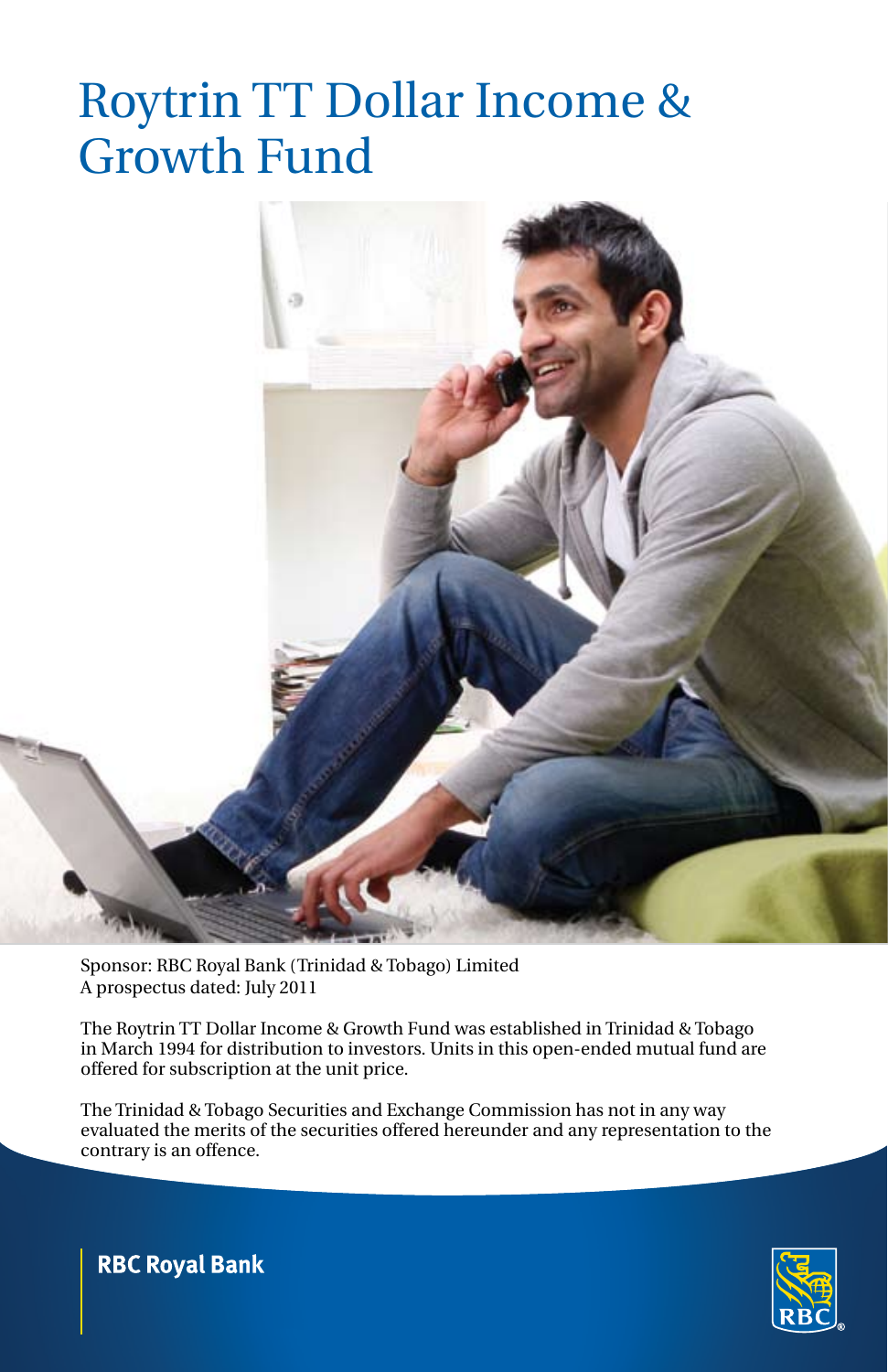# Roytrin TT Dollar Income & Growth Fund



Sponsor: RBC Royal Bank (Trinidad & Tobago) Limited A prospectus dated: July 2011

The Roytrin TT Dollar Income & Growth Fund was established in Trinidad & Tobago in March 1994 for distribution to investors. Units in this open-ended mutual fund are offered for subscription at the unit price.

The Trinidad & Tobago Securities and Exchange Commission has not in any way evaluated the merits of the securities offered hereunder and any representation to the contrary is an offence.



**RBC Royal Bank**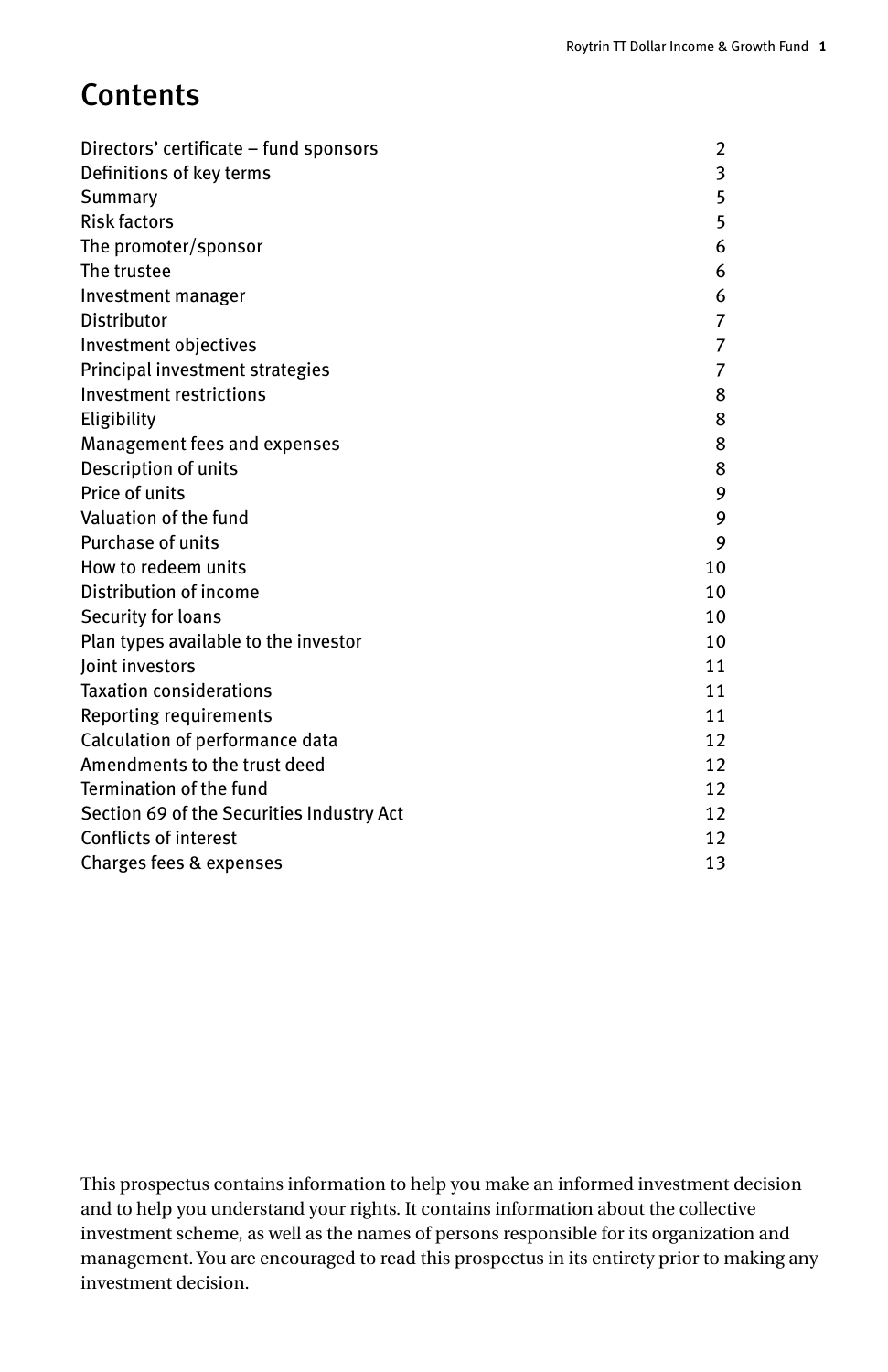# **Contents**

| Directors' certificate - fund sponsors    | 2  |
|-------------------------------------------|----|
| Definitions of key terms                  | 3  |
| Summary                                   | 5  |
| <b>Risk factors</b>                       | 5  |
| The promoter/sponsor                      | 6  |
| The trustee                               | 6  |
| Investment manager                        | 6  |
| Distributor                               | 7  |
| Investment objectives                     | 7  |
| Principal investment strategies           | 7  |
| Investment restrictions                   | 8  |
| Eligibility                               | 8  |
| Management fees and expenses              | 8  |
| Description of units                      | 8  |
| Price of units                            | 9  |
| Valuation of the fund                     | 9  |
| Purchase of units                         | 9  |
| How to redeem units                       | 10 |
| Distribution of income                    | 10 |
| Security for loans                        | 10 |
| Plan types available to the investor      | 10 |
| loint investors                           | 11 |
| <b>Taxation considerations</b>            | 11 |
| Reporting requirements                    | 11 |
| Calculation of performance data           | 12 |
| Amendments to the trust deed              | 12 |
| Termination of the fund                   | 12 |
| Section 69 of the Securities Industry Act | 12 |
| <b>Conflicts of interest</b>              | 12 |
| Charges fees & expenses                   | 13 |

This prospectus contains information to help you make an informed investment decision and to help you understand your rights. It contains information about the collective investment scheme, as well as the names of persons responsible for its organization and management. You are encouraged to read this prospectus in its entirety prior to making any investment decision.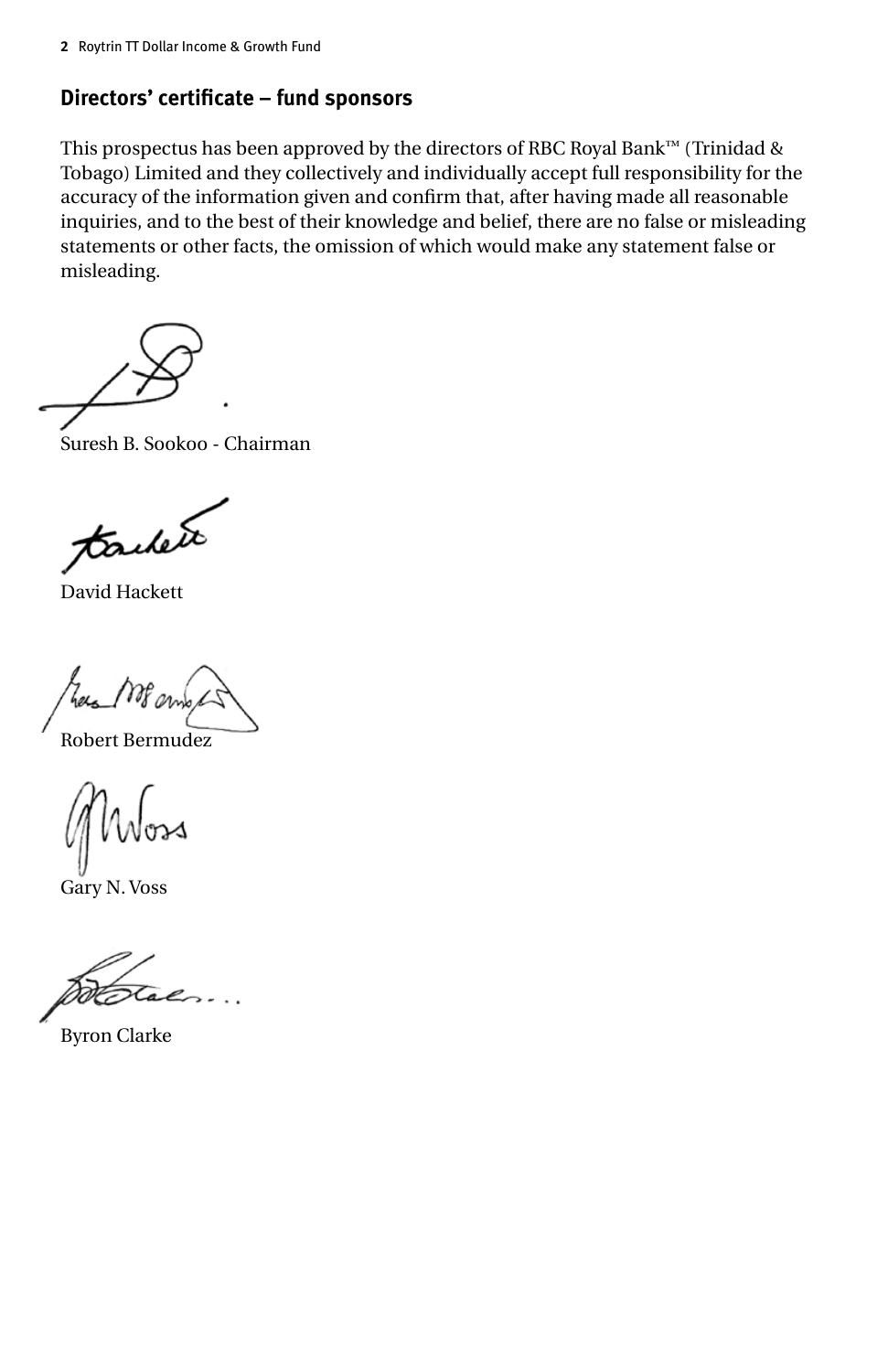## **Directors' certificate – fund sponsors**

This prospectus has been approved by the directors of RBC Royal Bank™ (Trinidad & Tobago) Limited and they collectively and individually accept full responsibility for the accuracy of the information given and confirm that, after having made all reasonable inquiries, and to the best of their knowledge and belief, there are no false or misleading statements or other facts, the omission of which would make any statement false or misleading.

Suresh B. Sookoo - Chairman

tachete

David Hackett

Robert Bermudez

Gary N. Voss

Byron Clarke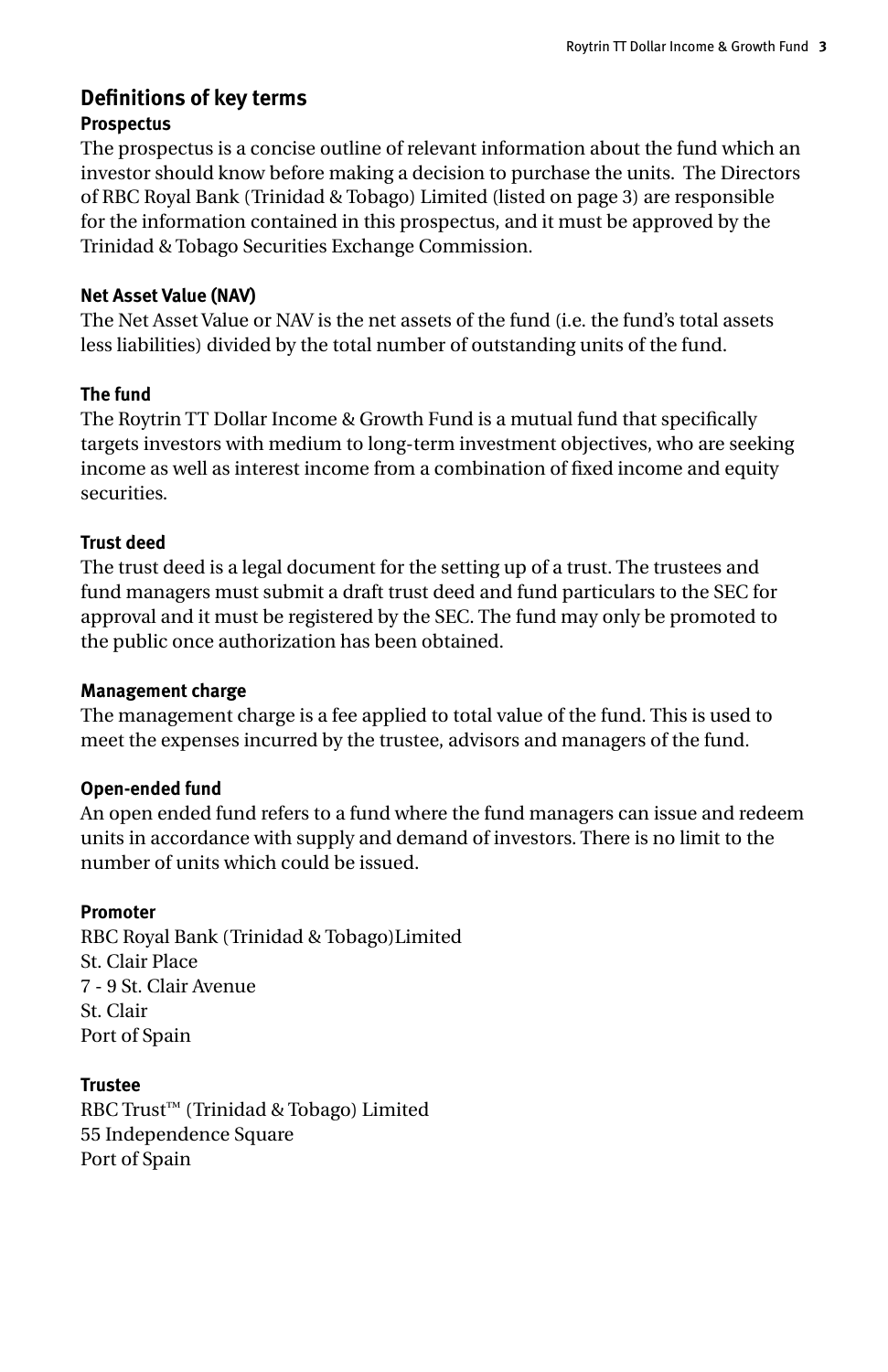## **Definitions of key terms Prospectus**

The prospectus is a concise outline of relevant information about the fund which an investor should know before making a decision to purchase the units. The Directors of RBC Royal Bank (Trinidad & Tobago) Limited (listed on page 3) are responsible for the information contained in this prospectus, and it must be approved by the Trinidad & Tobago Securities Exchange Commission.

### **Net Asset Value (NAV)**

The Net Asset Value or NAV is the net assets of the fund (i.e. the fund's total assets less liabilities) divided by the total number of outstanding units of the fund.

### **The fund**

The Roytrin TT Dollar Income & Growth Fund is a mutual fund that specifically targets investors with medium to long-term investment objectives, who are seeking income as well as interest income from a combination of fixed income and equity securities.

## **Trust deed**

The trust deed is a legal document for the setting up of a trust. The trustees and fund managers must submit a draft trust deed and fund particulars to the SEC for approval and it must be registered by the SEC. The fund may only be promoted to the public once authorization has been obtained.

#### **Management charge**

The management charge is a fee applied to total value of the fund. This is used to meet the expenses incurred by the trustee, advisors and managers of the fund.

## **Open-ended fund**

An open ended fund refers to a fund where the fund managers can issue and redeem units in accordance with supply and demand of investors. There is no limit to the number of units which could be issued.

## **Promoter**

RBC Royal Bank (Trinidad & Tobago)Limited St. Clair Place 7 - 9 St. Clair Avenue St. Clair Port of Spain

**Trustee** RBC Trust™ (Trinidad & Tobago) Limited 55 Independence Square Port of Spain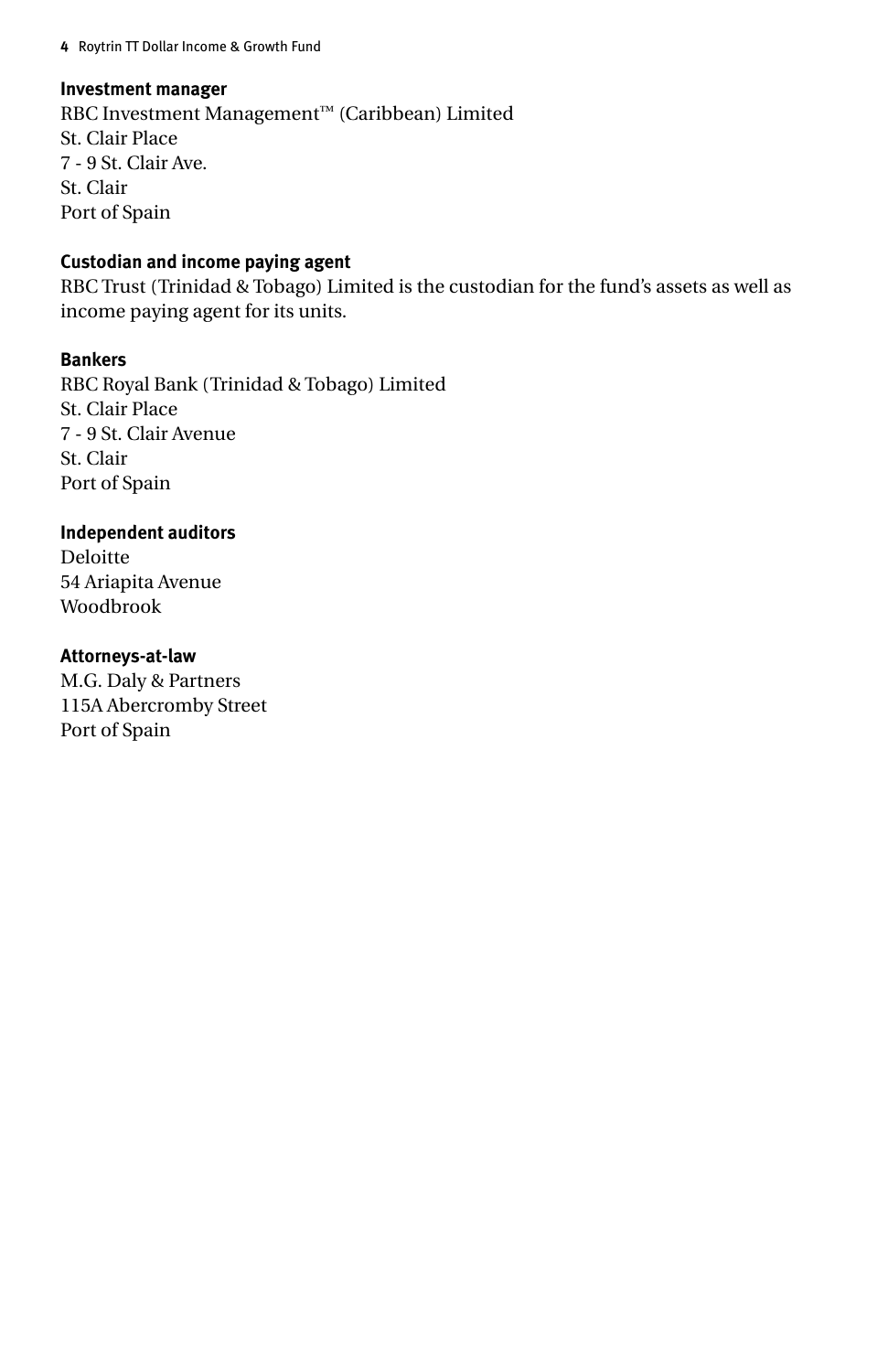#### **Investment manager**

RBC Investment Management™ (Caribbean) Limited St. Clair Place 7 - 9 St. Clair Ave. St. Clair Port of Spain

#### **Custodian and income paying agent**

RBC Trust (Trinidad & Tobago) Limited is the custodian for the fund's assets as well as income paying agent for its units.

#### **Bankers**

RBC Royal Bank (Trinidad & Tobago) Limited St. Clair Place 7 - 9 St. Clair Avenue St. Clair Port of Spain

#### **Independent auditors**

Deloitte 54 Ariapita Avenue Woodbrook

#### **Attorneys-at-law**

M.G. Daly & Partners 115A Abercromby Street Port of Spain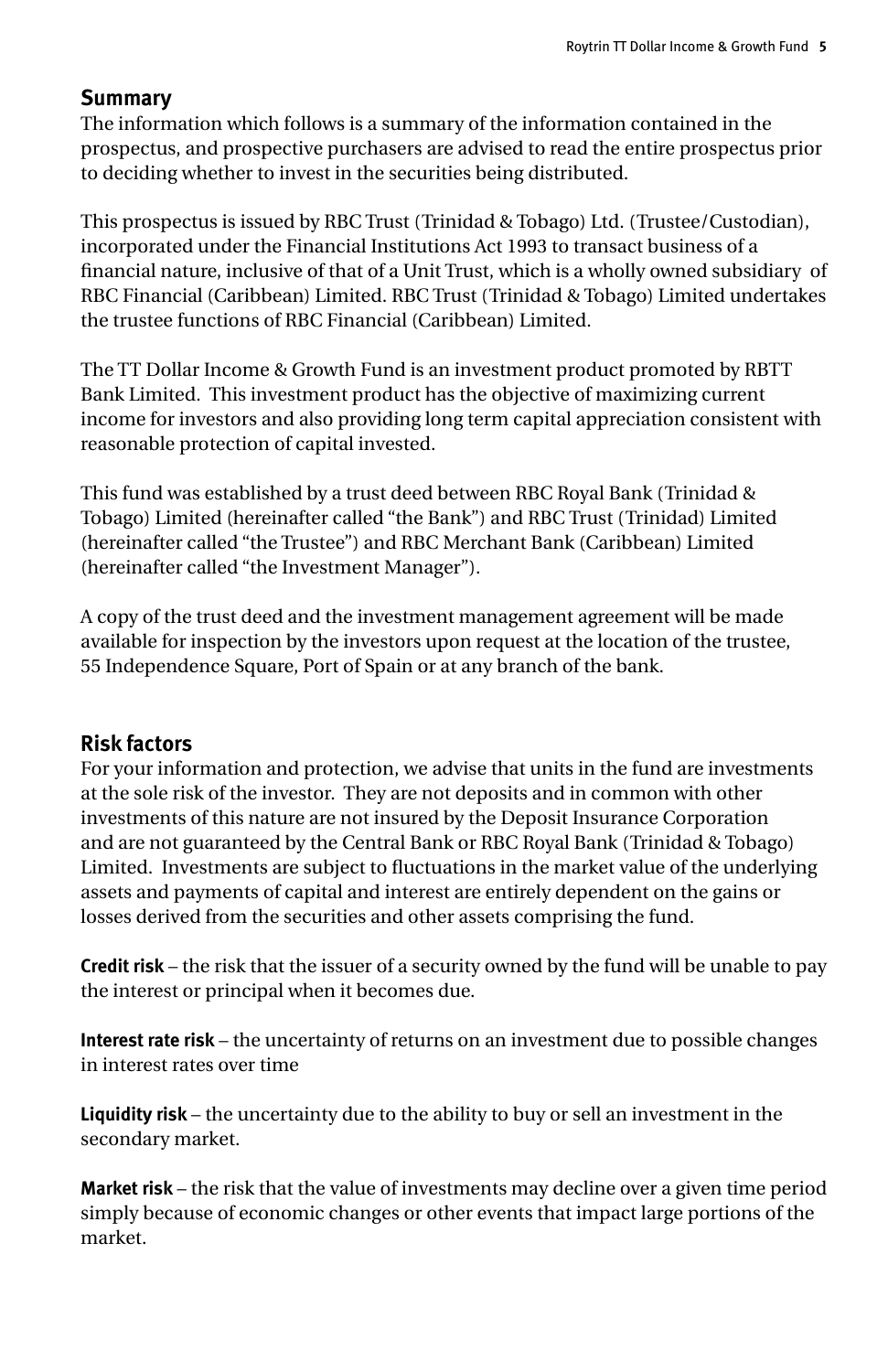## **Summary**

The information which follows is a summary of the information contained in the prospectus, and prospective purchasers are advised to read the entire prospectus prior to deciding whether to invest in the securities being distributed.

This prospectus is issued by RBC Trust (Trinidad & Tobago) Ltd. (Trustee/Custodian), incorporated under the Financial Institutions Act 1993 to transact business of a financial nature, inclusive of that of a Unit Trust, which is a wholly owned subsidiary of RBC Financial (Caribbean) Limited. RBC Trust (Trinidad & Tobago) Limited undertakes the trustee functions of RBC Financial (Caribbean) Limited.

The TT Dollar Income & Growth Fund is an investment product promoted by RBTT Bank Limited. This investment product has the objective of maximizing current income for investors and also providing long term capital appreciation consistent with reasonable protection of capital invested.

This fund was established by a trust deed between RBC Royal Bank (Trinidad & Tobago) Limited (hereinafter called "the Bank") and RBC Trust (Trinidad) Limited (hereinafter called "the Trustee") and RBC Merchant Bank (Caribbean) Limited (hereinafter called "the Investment Manager").

A copy of the trust deed and the investment management agreement will be made available for inspection by the investors upon request at the location of the trustee, 55 Independence Square, Port of Spain or at any branch of the bank.

#### **Risk factors**

For your information and protection, we advise that units in the fund are investments at the sole risk of the investor. They are not deposits and in common with other investments of this nature are not insured by the Deposit Insurance Corporation and are not guaranteed by the Central Bank or RBC Royal Bank (Trinidad & Tobago) Limited. Investments are subject to fluctuations in the market value of the underlying assets and payments of capital and interest are entirely dependent on the gains or losses derived from the securities and other assets comprising the fund.

**Credit risk** – the risk that the issuer of a security owned by the fund will be unable to pay the interest or principal when it becomes due.

**Interest rate risk** – the uncertainty of returns on an investment due to possible changes in interest rates over time

**Liquidity risk** – the uncertainty due to the ability to buy or sell an investment in the secondary market.

**Market risk** – the risk that the value of investments may decline over a given time period simply because of economic changes or other events that impact large portions of the market.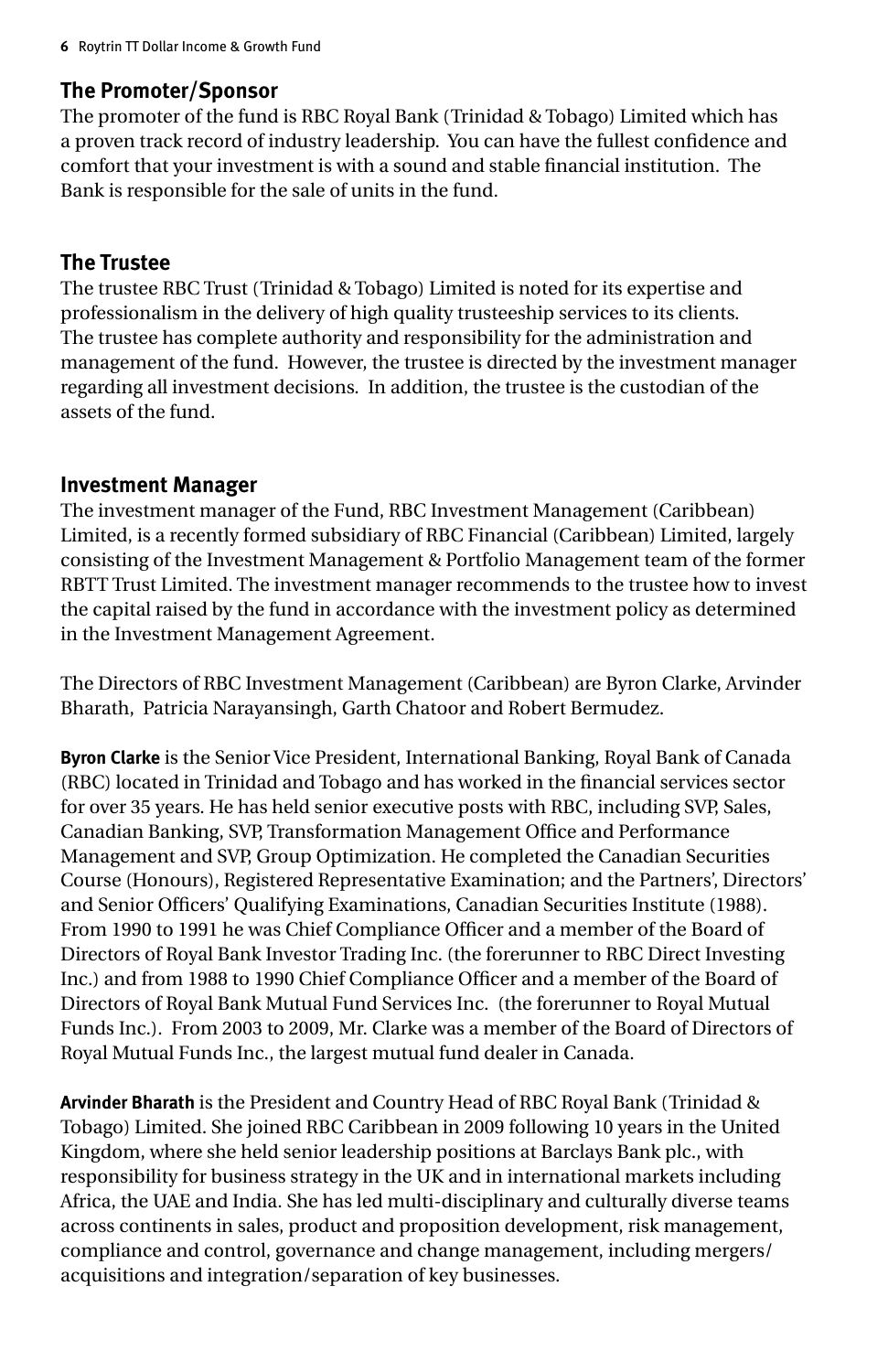### **The Promoter/Sponsor**

The promoter of the fund is RBC Royal Bank (Trinidad & Tobago) Limited which has a proven track record of industry leadership. You can have the fullest confidence and comfort that your investment is with a sound and stable financial institution. The Bank is responsible for the sale of units in the fund.

#### **The Trustee**

The trustee RBC Trust (Trinidad & Tobago) Limited is noted for its expertise and professionalism in the delivery of high quality trusteeship services to its clients. The trustee has complete authority and responsibility for the administration and management of the fund. However, the trustee is directed by the investment manager regarding all investment decisions. In addition, the trustee is the custodian of the assets of the fund.

#### **Investment Manager**

The investment manager of the Fund, RBC Investment Management (Caribbean) Limited, is a recently formed subsidiary of RBC Financial (Caribbean) Limited, largely consisting of the Investment Management & Portfolio Management team of the former RBTT Trust Limited. The investment manager recommends to the trustee how to invest the capital raised by the fund in accordance with the investment policy as determined in the Investment Management Agreement.

The Directors of RBC Investment Management (Caribbean) are Byron Clarke, Arvinder Bharath, Patricia Narayansingh, Garth Chatoor and Robert Bermudez.

**Byron Clarke** is the Senior Vice President, International Banking, Royal Bank of Canada (RBC) located in Trinidad and Tobago and has worked in the financial services sector for over 35 years. He has held senior executive posts with RBC, including SVP, Sales, Canadian Banking, SVP, Transformation Management Office and Performance Management and SVP, Group Optimization. He completed the Canadian Securities Course (Honours), Registered Representative Examination; and the Partners', Directors' and Senior Officers' Qualifying Examinations, Canadian Securities Institute (1988). From 1990 to 1991 he was Chief Compliance Officer and a member of the Board of Directors of Royal Bank Investor Trading Inc. (the forerunner to RBC Direct Investing Inc.) and from 1988 to 1990 Chief Compliance Officer and a member of the Board of Directors of Royal Bank Mutual Fund Services Inc. (the forerunner to Royal Mutual Funds Inc.). From 2003 to 2009, Mr. Clarke was a member of the Board of Directors of Royal Mutual Funds Inc., the largest mutual fund dealer in Canada.

**Arvinder Bharath** is the President and Country Head of RBC Royal Bank (Trinidad & Tobago) Limited. She joined RBC Caribbean in 2009 following 10 years in the United Kingdom, where she held senior leadership positions at Barclays Bank plc., with responsibility for business strategy in the UK and in international markets including Africa, the UAE and India. She has led multi-disciplinary and culturally diverse teams across continents in sales, product and proposition development, risk management, compliance and control, governance and change management, including mergers/ acquisitions and integration/separation of key businesses.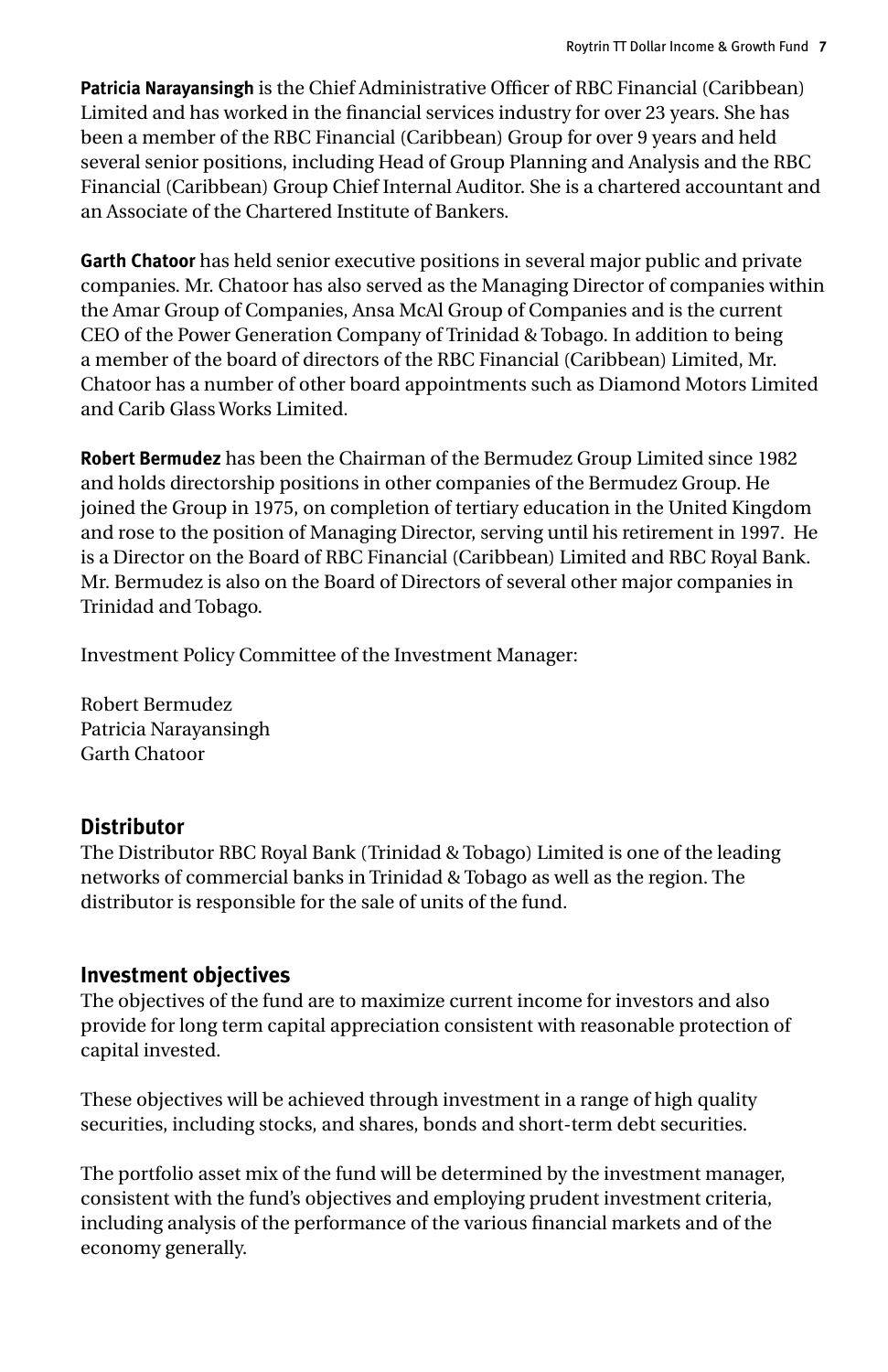**Patricia Narayansingh** is the Chief Administrative Officer of RBC Financial (Caribbean) Limited and has worked in the financial services industry for over 23 years. She has been a member of the RBC Financial (Caribbean) Group for over 9 years and held several senior positions, including Head of Group Planning and Analysis and the RBC Financial (Caribbean) Group Chief Internal Auditor. She is a chartered accountant and an Associate of the Chartered Institute of Bankers.

**Garth Chatoor** has held senior executive positions in several major public and private companies. Mr. Chatoor has also served as the Managing Director of companies within the Amar Group of Companies, Ansa McAl Group of Companies and is the current CEO of the Power Generation Company of Trinidad & Tobago. In addition to being a member of the board of directors of the RBC Financial (Caribbean) Limited, Mr. Chatoor has a number of other board appointments such as Diamond Motors Limited and Carib Glass Works Limited.

**Robert Bermudez** has been the Chairman of the Bermudez Group Limited since 1982 and holds directorship positions in other companies of the Bermudez Group. He joined the Group in 1975, on completion of tertiary education in the United Kingdom and rose to the position of Managing Director, serving until his retirement in 1997. He is a Director on the Board of RBC Financial (Caribbean) Limited and RBC Royal Bank. Mr. Bermudez is also on the Board of Directors of several other major companies in Trinidad and Tobago.

Investment Policy Committee of the Investment Manager:

Robert Bermudez Patricia Narayansingh Garth Chatoor

#### **Distributor**

The Distributor RBC Royal Bank (Trinidad & Tobago) Limited is one of the leading networks of commercial banks in Trinidad & Tobago as well as the region. The distributor is responsible for the sale of units of the fund.

## **Investment objectives**

The objectives of the fund are to maximize current income for investors and also provide for long term capital appreciation consistent with reasonable protection of capital invested.

These objectives will be achieved through investment in a range of high quality securities, including stocks, and shares, bonds and short-term debt securities.

The portfolio asset mix of the fund will be determined by the investment manager, consistent with the fund's objectives and employing prudent investment criteria, including analysis of the performance of the various financial markets and of the economy generally.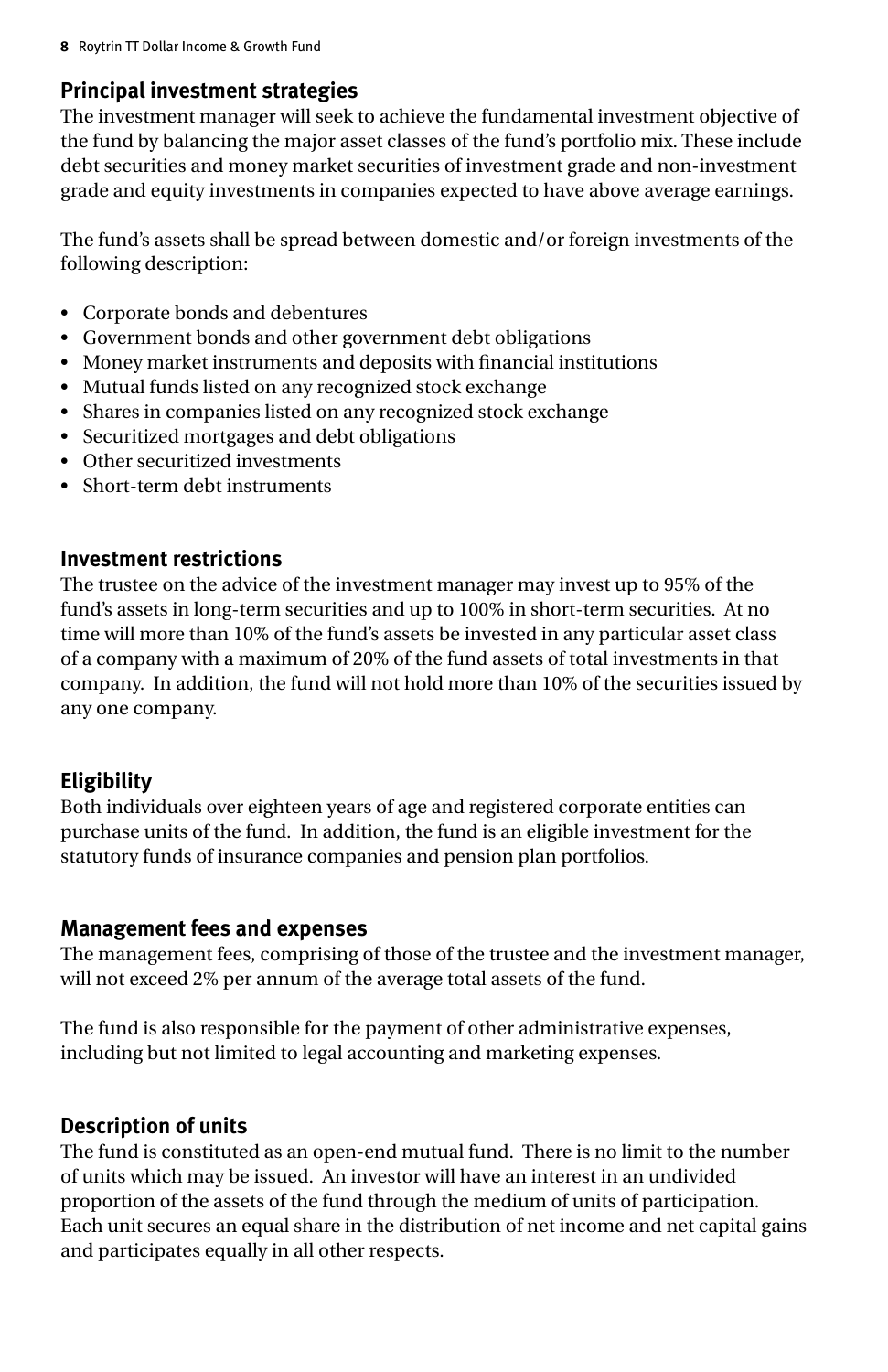## **Principal investment strategies**

The investment manager will seek to achieve the fundamental investment objective of the fund by balancing the major asset classes of the fund's portfolio mix. These include debt securities and money market securities of investment grade and non-investment grade and equity investments in companies expected to have above average earnings.

The fund's assets shall be spread between domestic and/or foreign investments of the following description:

- • Corporate bonds and debentures
- • Government bonds and other government debt obligations
- • Money market instruments and deposits with financial institutions
- Mutual funds listed on any recognized stock exchange
- Shares in companies listed on any recognized stock exchange
- • Securitized mortgages and debt obligations
- Other securitized investments
- Short-term debt instruments

## **Investment restrictions**

The trustee on the advice of the investment manager may invest up to 95% of the fund's assets in long-term securities and up to 100% in short-term securities. At no time will more than 10% of the fund's assets be invested in any particular asset class of a company with a maximum of 20% of the fund assets of total investments in that company. In addition, the fund will not hold more than 10% of the securities issued by any one company.

## **Eligibility**

Both individuals over eighteen years of age and registered corporate entities can purchase units of the fund. In addition, the fund is an eligible investment for the statutory funds of insurance companies and pension plan portfolios.

## **Management fees and expenses**

The management fees, comprising of those of the trustee and the investment manager, will not exceed 2% per annum of the average total assets of the fund.

The fund is also responsible for the payment of other administrative expenses, including but not limited to legal accounting and marketing expenses.

## **Description of units**

The fund is constituted as an open-end mutual fund. There is no limit to the number of units which may be issued. An investor will have an interest in an undivided proportion of the assets of the fund through the medium of units of participation. Each unit secures an equal share in the distribution of net income and net capital gains and participates equally in all other respects.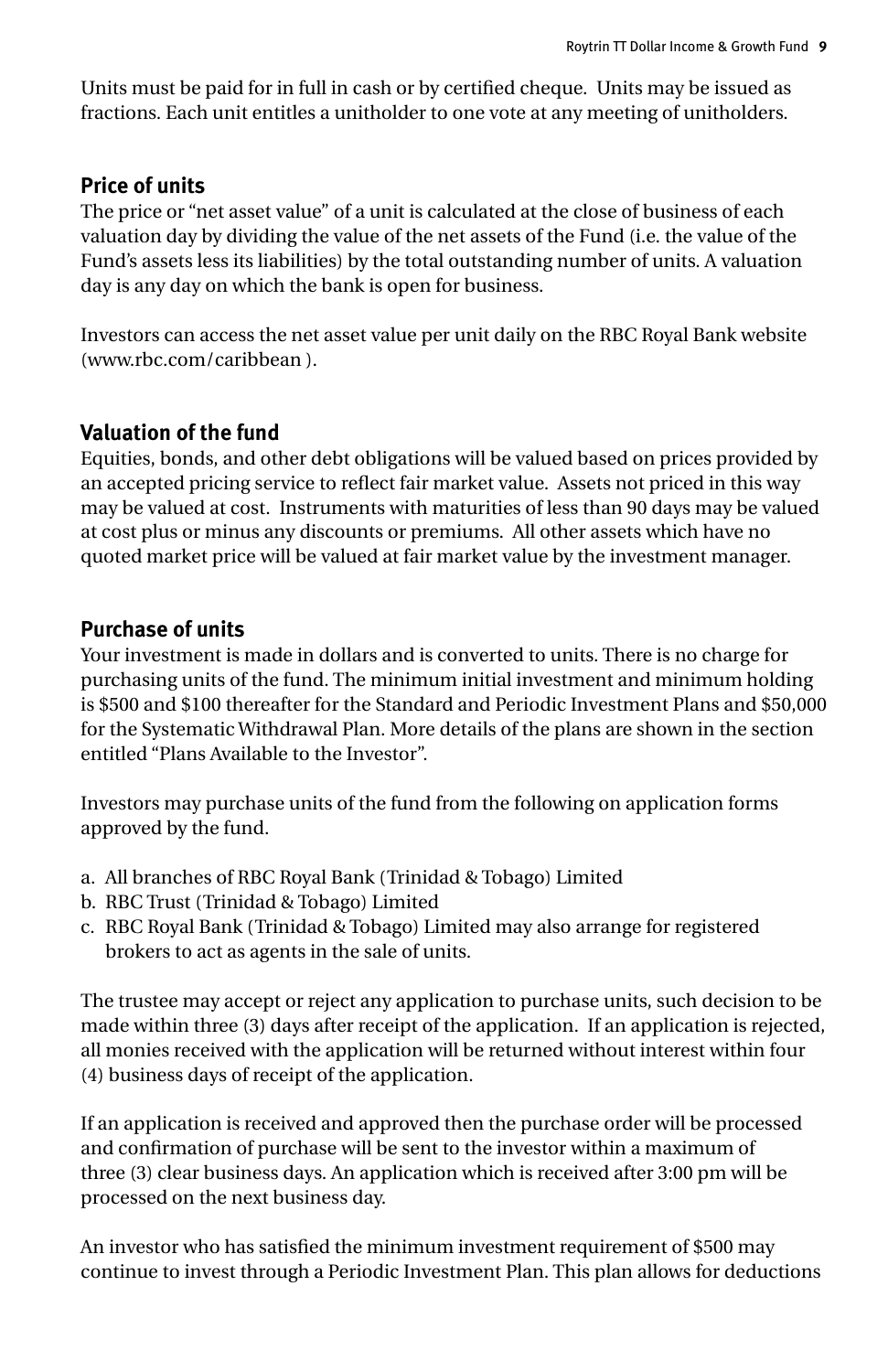Units must be paid for in full in cash or by certified cheque. Units may be issued as fractions. Each unit entitles a unitholder to one vote at any meeting of unitholders.

## **Price of units**

The price or "net asset value" of a unit is calculated at the close of business of each valuation day by dividing the value of the net assets of the Fund (i.e. the value of the Fund's assets less its liabilities) by the total outstanding number of units. A valuation day is any day on which the bank is open for business.

Investors can access the net asset value per unit daily on the RBC Royal Bank website (www.rbc.com/caribbean ).

## **Valuation of the fund**

Equities, bonds, and other debt obligations will be valued based on prices provided by an accepted pricing service to reflect fair market value. Assets not priced in this way may be valued at cost. Instruments with maturities of less than 90 days may be valued at cost plus or minus any discounts or premiums. All other assets which have no quoted market price will be valued at fair market value by the investment manager.

## **Purchase of units**

Your investment is made in dollars and is converted to units. There is no charge for purchasing units of the fund. The minimum initial investment and minimum holding is \$500 and \$100 thereafter for the Standard and Periodic Investment Plans and \$50,000 for the Systematic Withdrawal Plan. More details of the plans are shown in the section entitled "Plans Available to the Investor".

Investors may purchase units of the fund from the following on application forms approved by the fund.

- a. All branches of RBC Royal Bank (Trinidad & Tobago) Limited
- b. RBC Trust (Trinidad & Tobago) Limited
- c. RBC Royal Bank (Trinidad & Tobago) Limited may also arrange for registered brokers to act as agents in the sale of units.

The trustee may accept or reject any application to purchase units, such decision to be made within three (3) days after receipt of the application. If an application is rejected, all monies received with the application will be returned without interest within four (4) business days of receipt of the application.

If an application is received and approved then the purchase order will be processed and confirmation of purchase will be sent to the investor within a maximum of three (3) clear business days. An application which is received after 3:00 pm will be processed on the next business day.

An investor who has satisfied the minimum investment requirement of \$500 may continue to invest through a Periodic Investment Plan. This plan allows for deductions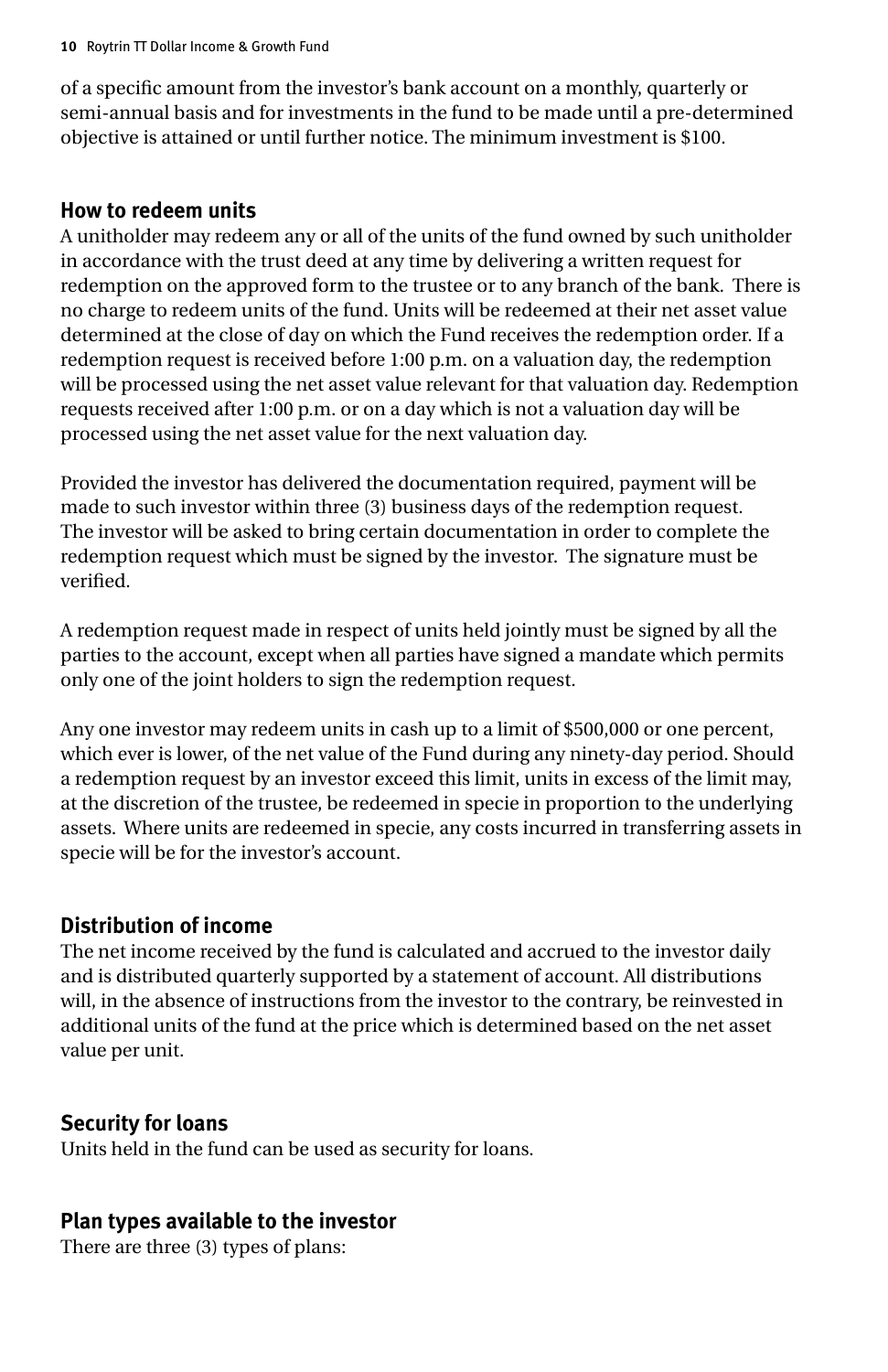of a specific amount from the investor's bank account on a monthly, quarterly or semi-annual basis and for investments in the fund to be made until a pre-determined objective is attained or until further notice. The minimum investment is \$100.

#### **How to redeem units**

A unitholder may redeem any or all of the units of the fund owned by such unitholder in accordance with the trust deed at any time by delivering a written request for redemption on the approved form to the trustee or to any branch of the bank. There is no charge to redeem units of the fund. Units will be redeemed at their net asset value determined at the close of day on which the Fund receives the redemption order. If a redemption request is received before 1:00 p.m. on a valuation day, the redemption will be processed using the net asset value relevant for that valuation day. Redemption requests received after 1:00 p.m. or on a day which is not a valuation day will be processed using the net asset value for the next valuation day.

Provided the investor has delivered the documentation required, payment will be made to such investor within three (3) business days of the redemption request. The investor will be asked to bring certain documentation in order to complete the redemption request which must be signed by the investor. The signature must be verified.

A redemption request made in respect of units held jointly must be signed by all the parties to the account, except when all parties have signed a mandate which permits only one of the joint holders to sign the redemption request.

Any one investor may redeem units in cash up to a limit of \$500,000 or one percent, which ever is lower, of the net value of the Fund during any ninety-day period. Should a redemption request by an investor exceed this limit, units in excess of the limit may, at the discretion of the trustee, be redeemed in specie in proportion to the underlying assets. Where units are redeemed in specie, any costs incurred in transferring assets in specie will be for the investor's account.

## **Distribution of income**

The net income received by the fund is calculated and accrued to the investor daily and is distributed quarterly supported by a statement of account. All distributions will, in the absence of instructions from the investor to the contrary, be reinvested in additional units of the fund at the price which is determined based on the net asset value per unit.

## **Security for loans**

Units held in the fund can be used as security for loans.

## **Plan types available to the investor**

There are three (3) types of plans: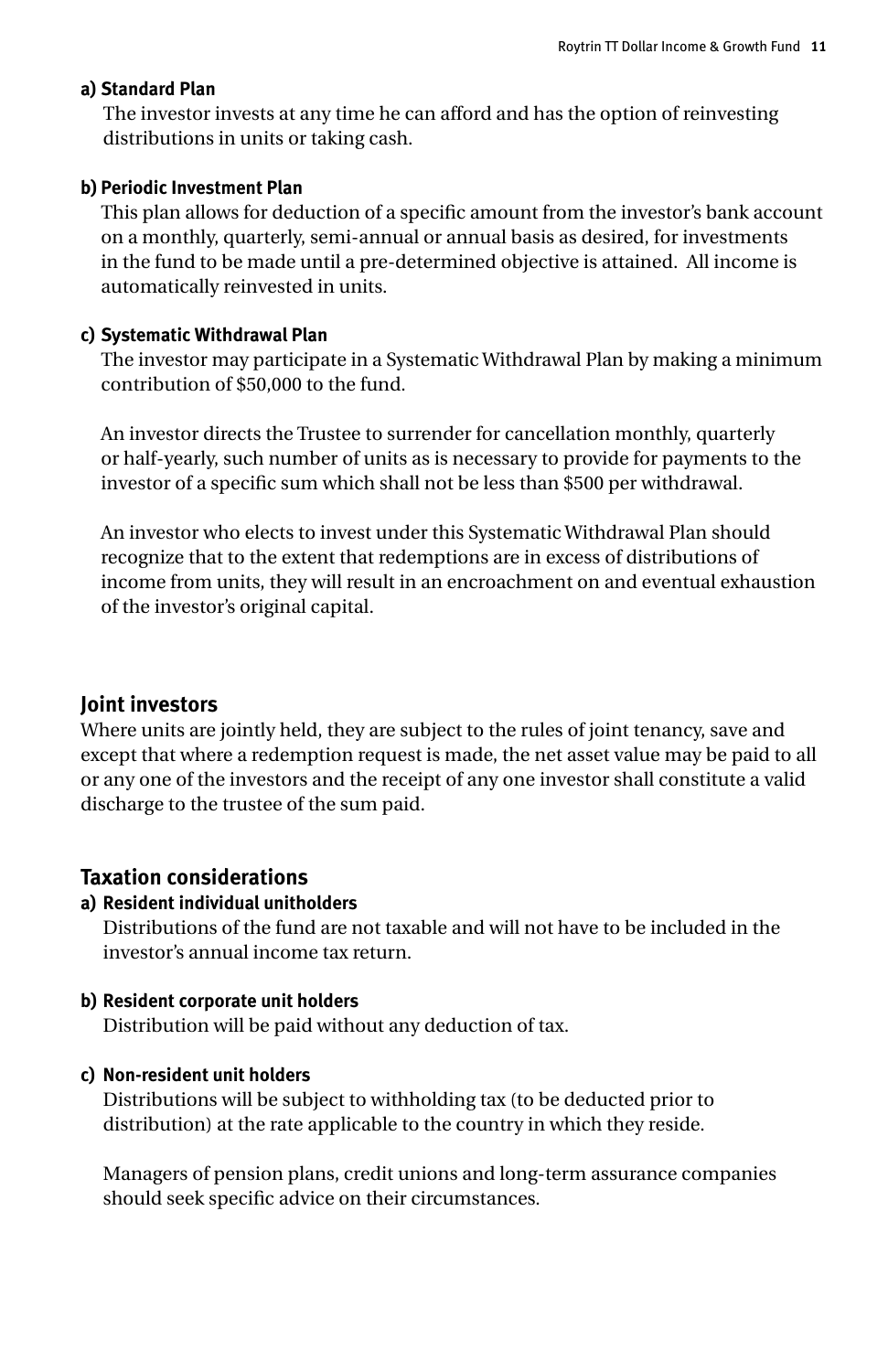#### **a) Standard Plan**

The investor invests at any time he can afford and has the option of reinvesting distributions in units or taking cash.

#### **b) Periodic Investment Plan**

This plan allows for deduction of a specific amount from the investor's bank account on a monthly, quarterly, semi-annual or annual basis as desired, for investments in the fund to be made until a pre-determined objective is attained. All income is automatically reinvested in units.

#### **c) Systematic Withdrawal Plan**

The investor may participate in a Systematic Withdrawal Plan by making a minimum contribution of \$50,000 to the fund.

An investor directs the Trustee to surrender for cancellation monthly, quarterly or half-yearly, such number of units as is necessary to provide for payments to the investor of a specific sum which shall not be less than \$500 per withdrawal.

An investor who elects to invest under this Systematic Withdrawal Plan should recognize that to the extent that redemptions are in excess of distributions of income from units, they will result in an encroachment on and eventual exhaustion of the investor's original capital.

#### **Joint investors**

Where units are jointly held, they are subject to the rules of joint tenancy, save and except that where a redemption request is made, the net asset value may be paid to all or any one of the investors and the receipt of any one investor shall constitute a valid discharge to the trustee of the sum paid.

#### **Taxation considerations**

#### **a) Resident individual unitholders**

Distributions of the fund are not taxable and will not have to be included in the investor's annual income tax return.

#### **b) Resident corporate unit holders**

Distribution will be paid without any deduction of tax.

#### **c) Non-resident unit holders**

Distributions will be subject to withholding tax (to be deducted prior to distribution) at the rate applicable to the country in which they reside.

Managers of pension plans, credit unions and long-term assurance companies should seek specific advice on their circumstances.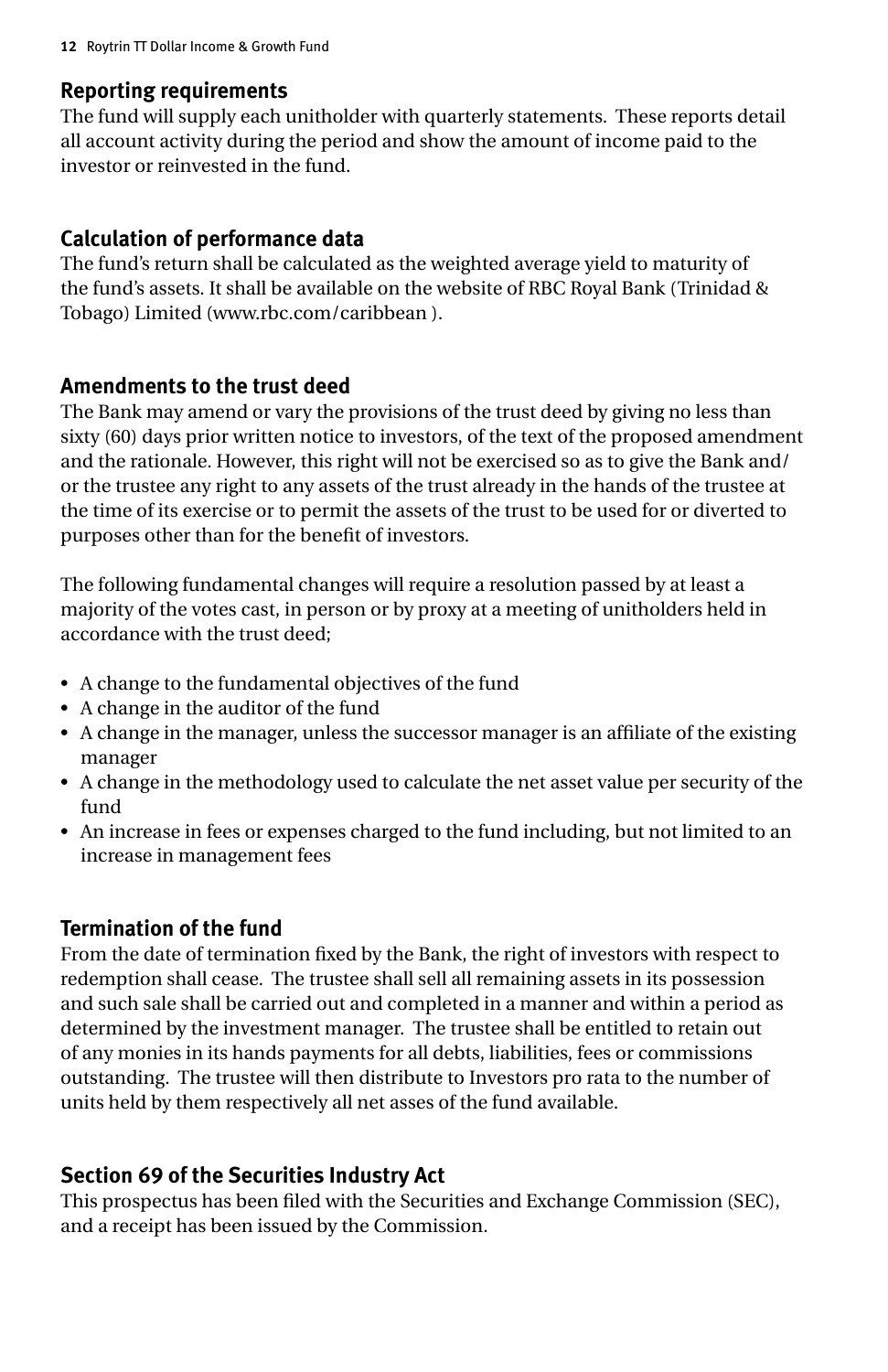#### **Reporting requirements**

The fund will supply each unitholder with quarterly statements. These reports detail all account activity during the period and show the amount of income paid to the investor or reinvested in the fund.

## **Calculation of performance data**

The fund's return shall be calculated as the weighted average yield to maturity of the fund's assets. It shall be available on the website of RBC Royal Bank (Trinidad & Tobago) Limited (www.rbc.com/caribbean ).

### **Amendments to the trust deed**

The Bank may amend or vary the provisions of the trust deed by giving no less than sixty (60) days prior written notice to investors, of the text of the proposed amendment and the rationale. However, this right will not be exercised so as to give the Bank and/ or the trustee any right to any assets of the trust already in the hands of the trustee at the time of its exercise or to permit the assets of the trust to be used for or diverted to purposes other than for the benefit of investors.

The following fundamental changes will require a resolution passed by at least a majority of the votes cast, in person or by proxy at a meeting of unitholders held in accordance with the trust deed;

- • A change to the fundamental objectives of the fund
- • A change in the auditor of the fund
- • A change in the manager, unless the successor manager is an affiliate of the existing manager
- • A change in the methodology used to calculate the net asset value per security of the fund
- • An increase in fees or expenses charged to the fund including, but not limited to an increase in management fees

## **Termination of the fund**

From the date of termination fixed by the Bank, the right of investors with respect to redemption shall cease. The trustee shall sell all remaining assets in its possession and such sale shall be carried out and completed in a manner and within a period as determined by the investment manager. The trustee shall be entitled to retain out of any monies in its hands payments for all debts, liabilities, fees or commissions outstanding. The trustee will then distribute to Investors pro rata to the number of units held by them respectively all net asses of the fund available.

## **Section 69 of the Securities Industry Act**

This prospectus has been filed with the Securities and Exchange Commission (SEC), and a receipt has been issued by the Commission.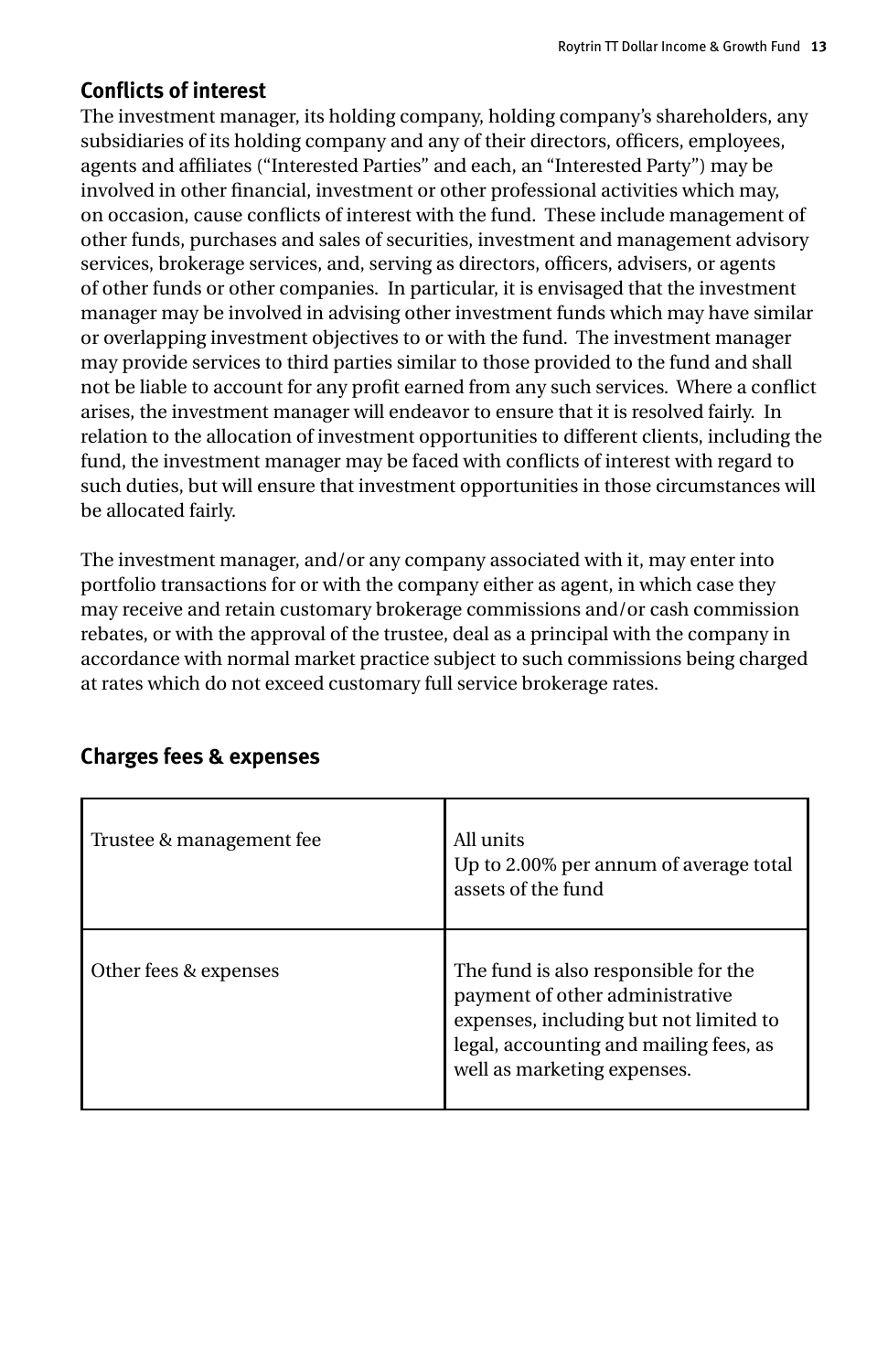## **Conflicts of interest**

The investment manager, its holding company, holding company's shareholders, any subsidiaries of its holding company and any of their directors, officers, employees, agents and affiliates ("Interested Parties" and each, an "Interested Party") may be involved in other financial, investment or other professional activities which may, on occasion, cause conflicts of interest with the fund. These include management of other funds, purchases and sales of securities, investment and management advisory services, brokerage services, and, serving as directors, officers, advisers, or agents of other funds or other companies. In particular, it is envisaged that the investment manager may be involved in advising other investment funds which may have similar or overlapping investment objectives to or with the fund. The investment manager may provide services to third parties similar to those provided to the fund and shall not be liable to account for any profit earned from any such services. Where a conflict arises, the investment manager will endeavor to ensure that it is resolved fairly. In relation to the allocation of investment opportunities to different clients, including the fund, the investment manager may be faced with conflicts of interest with regard to such duties, but will ensure that investment opportunities in those circumstances will be allocated fairly.

The investment manager, and/or any company associated with it, may enter into portfolio transactions for or with the company either as agent, in which case they may receive and retain customary brokerage commissions and/or cash commission rebates, or with the approval of the trustee, deal as a principal with the company in accordance with normal market practice subject to such commissions being charged at rates which do not exceed customary full service brokerage rates.

| Trustee & management fee | All units<br>Up to 2.00% per annum of average total<br>assets of the fund                                                                                                                  |
|--------------------------|--------------------------------------------------------------------------------------------------------------------------------------------------------------------------------------------|
| Other fees & expenses    | The fund is also responsible for the<br>payment of other administrative<br>expenses, including but not limited to<br>legal, accounting and mailing fees, as<br>well as marketing expenses. |

#### **Charges fees & expenses**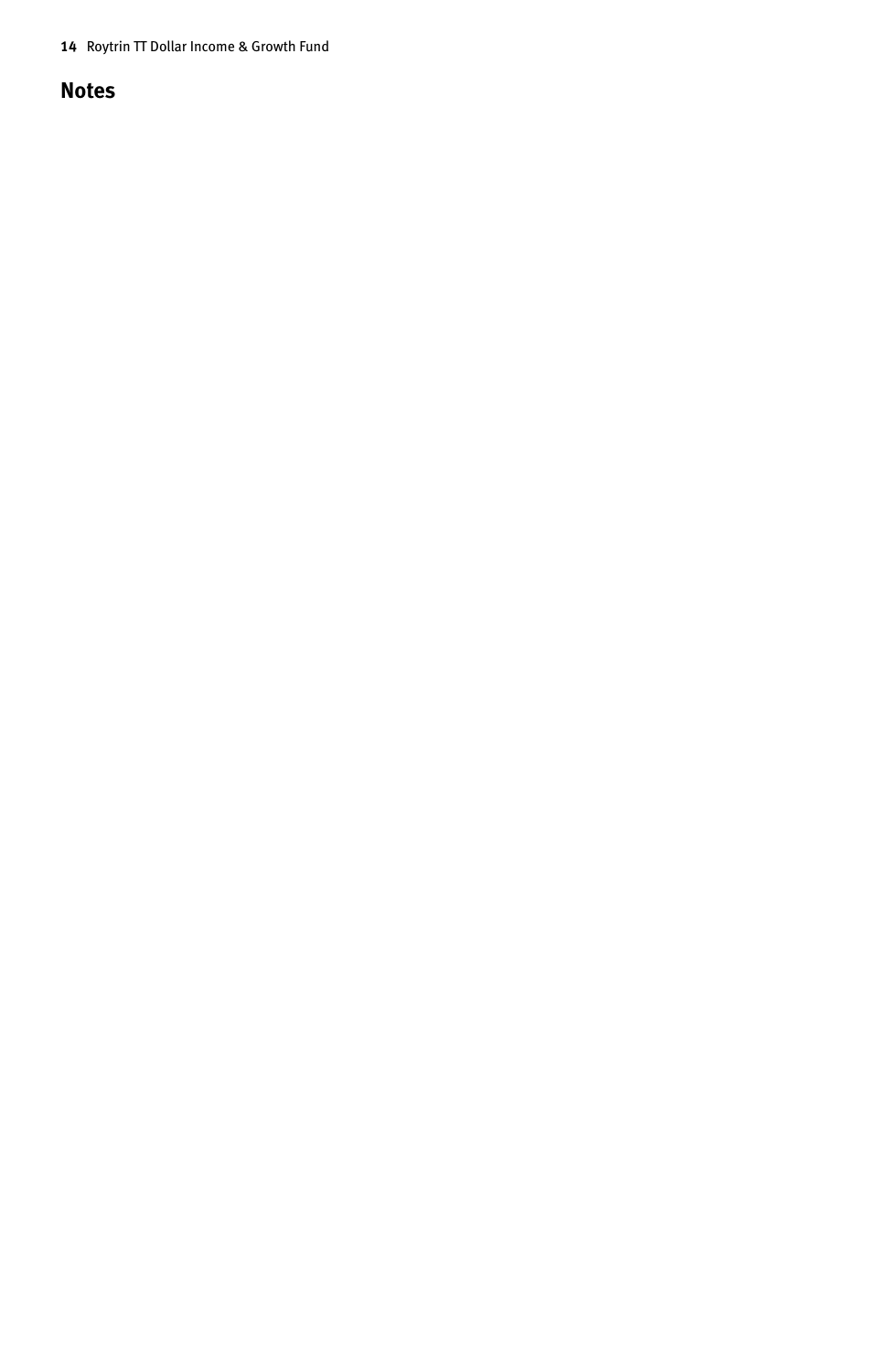**14** Roytrin TT Dollar Income & Growth Fund

#### **Notes**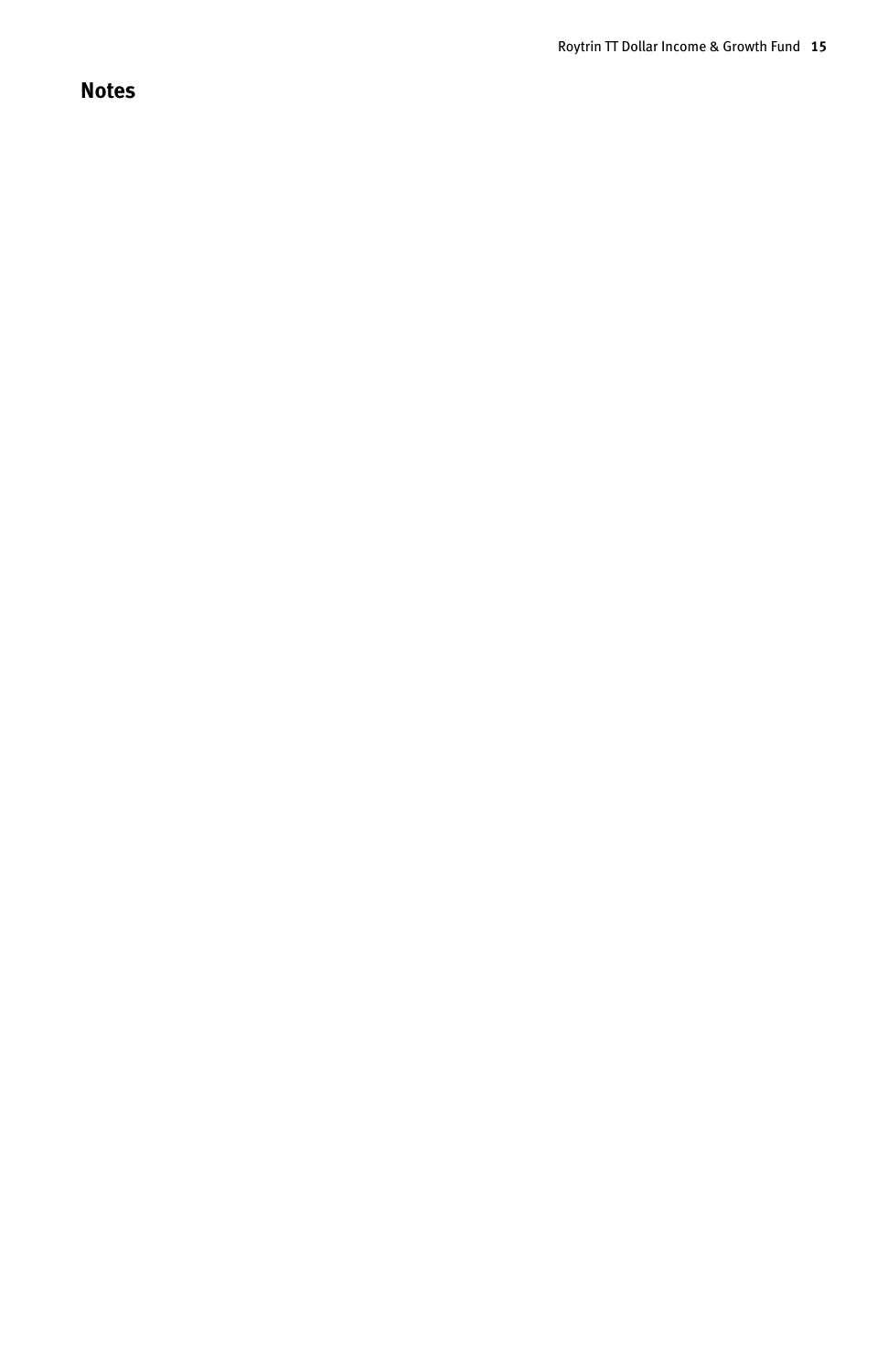## **Notes**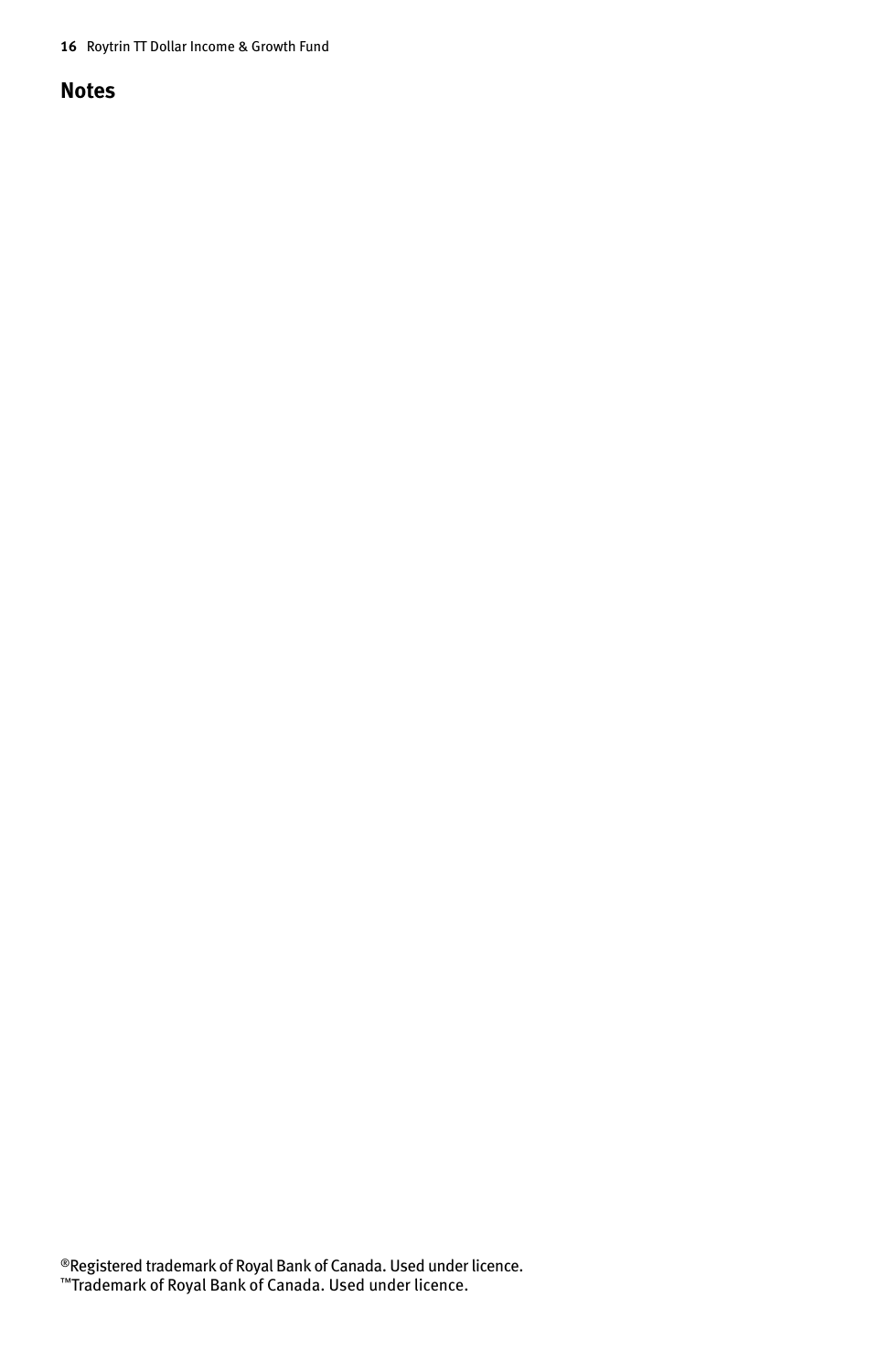**16** Roytrin TT Dollar Income & Growth Fund

#### **Notes**

®Registered trademark of Royal Bank of Canada. Used under licence. ™Trademark of Royal Bank of Canada. Used under licence.